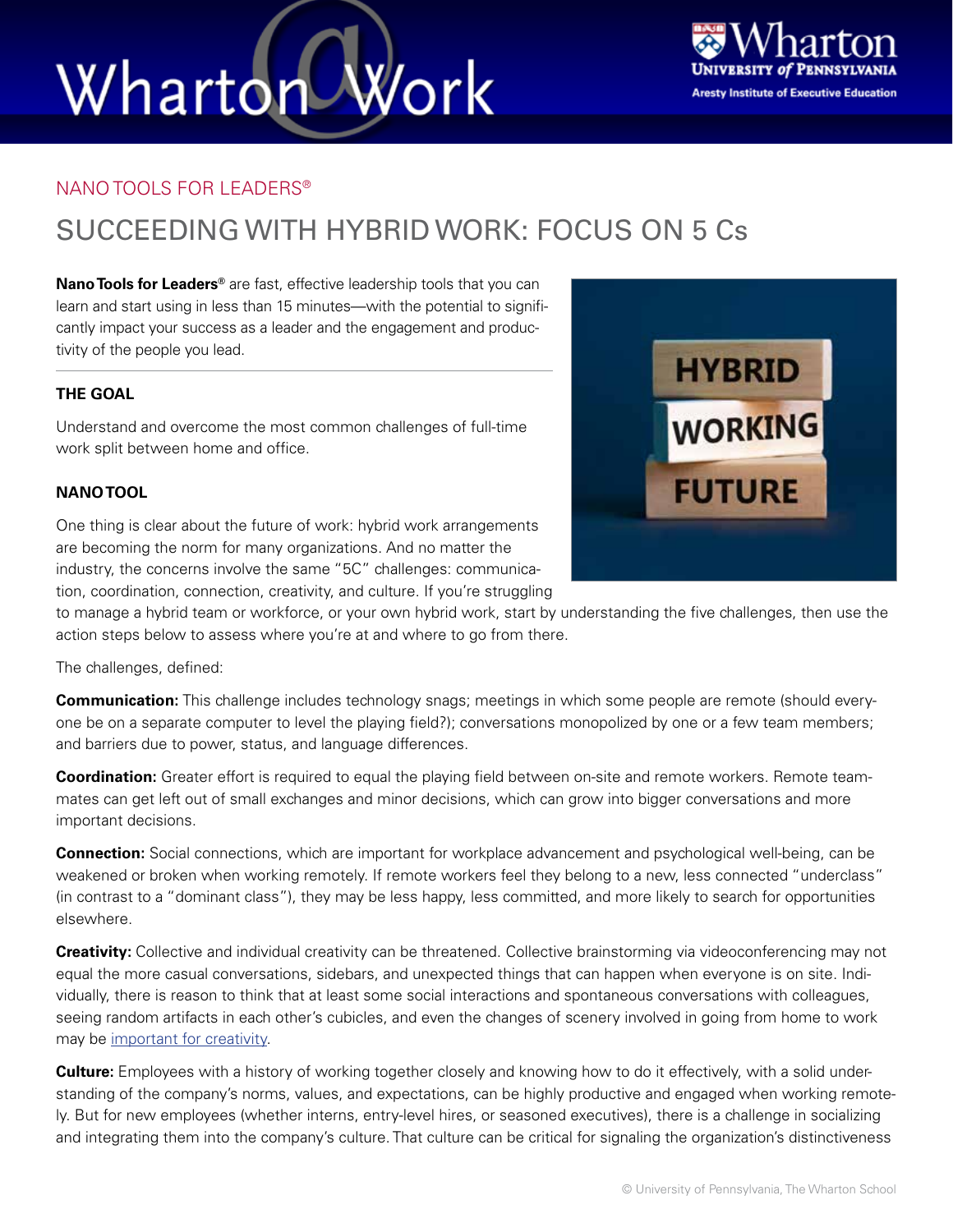# Wharton Work



#### NANO TOOLS FOR LEADERS®

### SUCCEEDING WITH HYBRID WORK: FOCUS ON 5 Cs

**Nano Tools for Leaders®** are fast, effective leadership tools that you can learn and start using in less than 15 minutes—with the potential to significantly impact your success as a leader and the engagement and productivity of the people you lead.

#### **THE GOAL**

Understand and overcome the most common challenges of full-time work split between home and office.

#### **NANO TOOL**

One thing is clear about the future of work: hybrid work arrangements are becoming the norm for many organizations. And no matter the industry, the concerns involve the same "5C" challenges: communication, coordination, connection, creativity, and culture. If you're struggling

to manage a hybrid team or workforce, or your own hybrid work, start by understanding the five challenges, then use the action steps below to assess where you're at and where to go from there.

The challenges, defined:

**Communication:** This challenge includes technology snags; meetings in which some people are remote (should everyone be on a separate computer to level the playing field?); conversations monopolized by one or a few team members; and barriers due to power, status, and language differences.

**Coordination:** Greater effort is required to equal the playing field between on-site and remote workers. Remote teammates can get left out of small exchanges and minor decisions, which can grow into bigger conversations and more important decisions.

**Connection:** Social connections, which are important for workplace advancement and psychological well-being, can be weakened or broken when working remotely. If remote workers feel they belong to a new, less connected "underclass" (in contrast to a "dominant class"), they may be less happy, less committed, and more likely to search for opportunities elsewhere.

**Creativity:** Collective and individual creativity can be threatened. Collective brainstorming via videoconferencing may not equal the more casual conversations, sidebars, and unexpected things that can happen when everyone is on site. Individually, there is reason to think that at least some social interactions and spontaneous conversations with colleagues, seeing random artifacts in each other's cubicles, and even the changes of scenery involved in going from home to work may be [important for creativity](https://www.ncbi.nlm.nih.gov/pmc/articles/PMC3990058/).

**Culture:** Employees with a history of working together closely and knowing how to do it effectively, with a solid understanding of the company's norms, values, and expectations, can be highly productive and engaged when working remotely. But for new employees (whether interns, entry-level hires, or seasoned executives), there is a challenge in socializing and integrating them into the company's culture. That culture can be critical for signaling the organization's distinctiveness

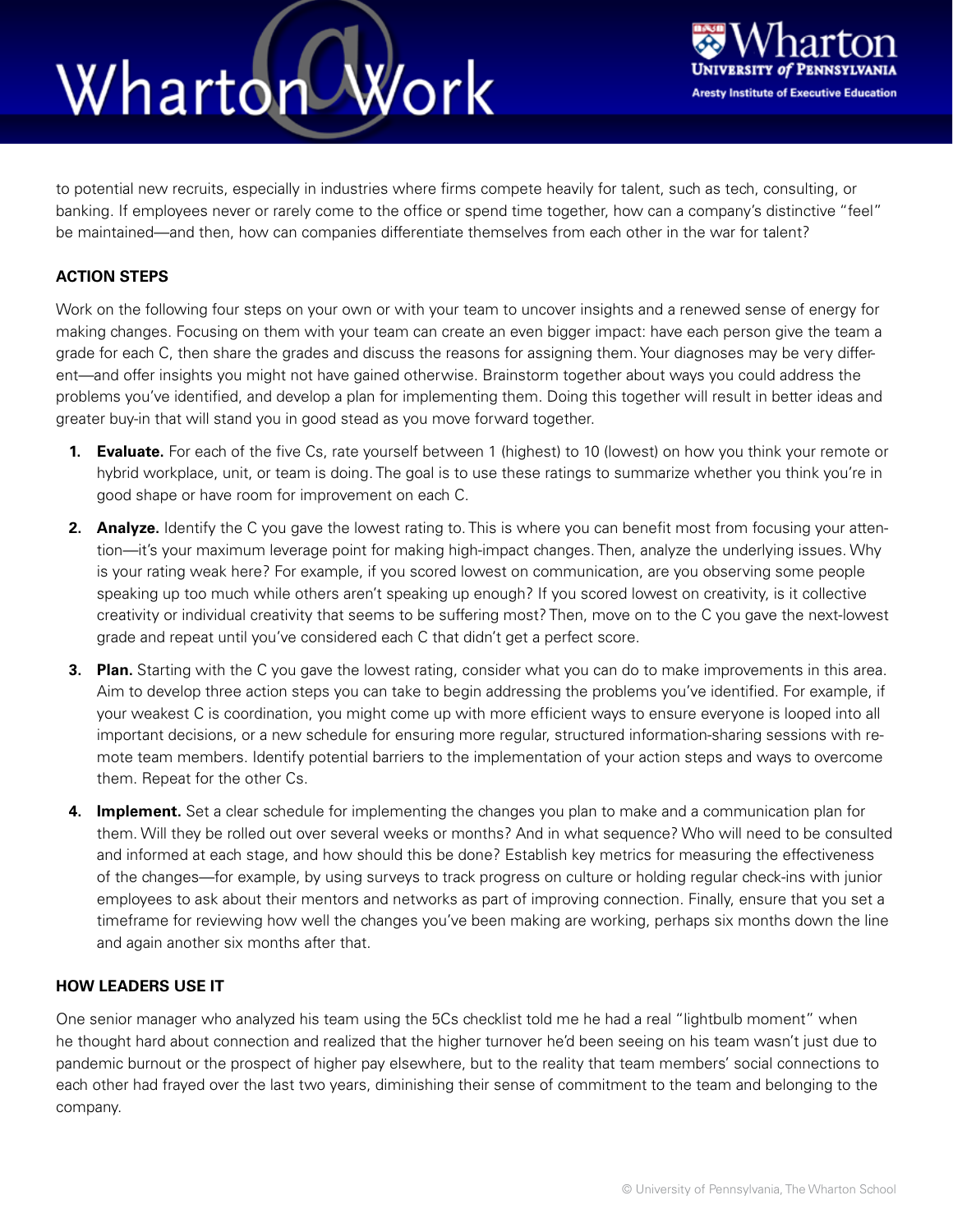### Wharton Work



to potential new recruits, especially in industries where firms compete heavily for talent, such as tech, consulting, or banking. If employees never or rarely come to the office or spend time together, how can a company's distinctive "feel" be maintained—and then, how can companies differentiate themselves from each other in the war for talent?

#### **ACTION STEPS**

Work on the following four steps on your own or with your team to uncover insights and a renewed sense of energy for making changes. Focusing on them with your team can create an even bigger impact: have each person give the team a grade for each C, then share the grades and discuss the reasons for assigning them. Your diagnoses may be very different—and offer insights you might not have gained otherwise. Brainstorm together about ways you could address the problems you've identified, and develop a plan for implementing them. Doing this together will result in better ideas and greater buy-in that will stand you in good stead as you move forward together.

- **1. Evaluate.** For each of the five Cs, rate yourself between 1 (highest) to 10 (lowest) on how you think your remote or hybrid workplace, unit, or team is doing. The goal is to use these ratings to summarize whether you think you're in good shape or have room for improvement on each C.
- **2. Analyze.** Identify the C you gave the lowest rating to. This is where you can benefit most from focusing your attention—it's your maximum leverage point for making high-impact changes. Then, analyze the underlying issues. Why is your rating weak here? For example, if you scored lowest on communication, are you observing some people speaking up too much while others aren't speaking up enough? If you scored lowest on creativity, is it collective creativity or individual creativity that seems to be suffering most? Then, move on to the C you gave the next-lowest grade and repeat until you've considered each C that didn't get a perfect score.
- **3. Plan.** Starting with the C you gave the lowest rating, consider what you can do to make improvements in this area. Aim to develop three action steps you can take to begin addressing the problems you've identified. For example, if your weakest C is coordination, you might come up with more efficient ways to ensure everyone is looped into all important decisions, or a new schedule for ensuring more regular, structured information-sharing sessions with remote team members. Identify potential barriers to the implementation of your action steps and ways to overcome them. Repeat for the other Cs.
- **4. Implement.** Set a clear schedule for implementing the changes you plan to make and a communication plan for them. Will they be rolled out over several weeks or months? And in what sequence? Who will need to be consulted and informed at each stage, and how should this be done? Establish key metrics for measuring the effectiveness of the changes—for example, by using surveys to track progress on culture or holding regular check-ins with junior employees to ask about their mentors and networks as part of improving connection. Finally, ensure that you set a timeframe for reviewing how well the changes you've been making are working, perhaps six months down the line and again another six months after that.

#### **HOW LEADERS USE IT**

One senior manager who analyzed his team using the 5Cs checklist told me he had a real "lightbulb moment" when he thought hard about connection and realized that the higher turnover he'd been seeing on his team wasn't just due to pandemic burnout or the prospect of higher pay elsewhere, but to the reality that team members' social connections to each other had frayed over the last two years, diminishing their sense of commitment to the team and belonging to the company.